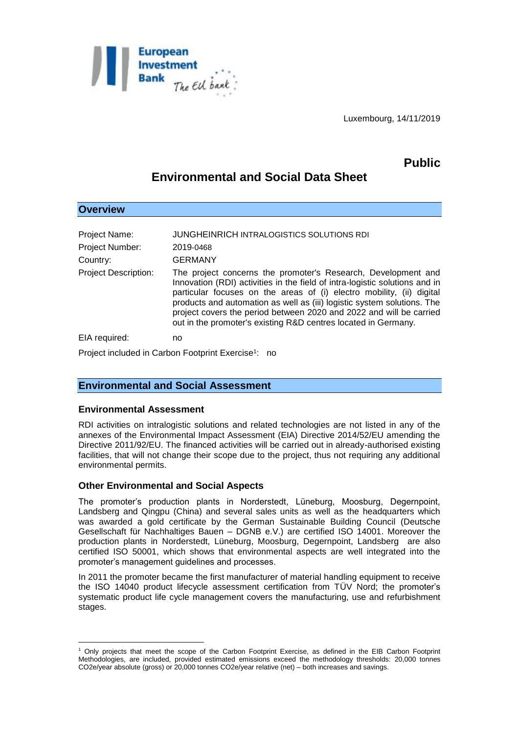

Luxembourg, 14/11/2019

## **Public**

# **Environmental and Social Data Sheet**

| <b>Overview</b>                                                 |                                                                                                                                                                                                                                                                                                                                                                                                                                           |
|-----------------------------------------------------------------|-------------------------------------------------------------------------------------------------------------------------------------------------------------------------------------------------------------------------------------------------------------------------------------------------------------------------------------------------------------------------------------------------------------------------------------------|
|                                                                 |                                                                                                                                                                                                                                                                                                                                                                                                                                           |
| Project Name:                                                   | JUNGHEINRICH INTRALOGISTICS SOLUTIONS RDI                                                                                                                                                                                                                                                                                                                                                                                                 |
| <b>Project Number:</b>                                          | 2019-0468                                                                                                                                                                                                                                                                                                                                                                                                                                 |
| Country:                                                        | <b>GERMANY</b>                                                                                                                                                                                                                                                                                                                                                                                                                            |
| <b>Project Description:</b>                                     | The project concerns the promoter's Research, Development and<br>Innovation (RDI) activities in the field of intra-logistic solutions and in<br>particular focuses on the areas of (i) electro mobility, (ii) digital<br>products and automation as well as (iii) logistic system solutions. The<br>project covers the period between 2020 and 2022 and will be carried<br>out in the promoter's existing R&D centres located in Germany. |
| EIA required:                                                   | no                                                                                                                                                                                                                                                                                                                                                                                                                                        |
| Project included in Carbon Footprint Exercise <sup>1</sup> : no |                                                                                                                                                                                                                                                                                                                                                                                                                                           |

## **Environmental and Social Assessment**

#### **Environmental Assessment**

<u>.</u>

RDI activities on intralogistic solutions and related technologies are not listed in any of the annexes of the Environmental Impact Assessment (EIA) Directive 2014/52/EU amending the Directive 2011/92/EU. The financed activities will be carried out in already-authorised existing facilities, that will not change their scope due to the project, thus not requiring any additional environmental permits.

#### **Other Environmental and Social Aspects**

The promoter's production plants in Norderstedt, Lüneburg, Moosburg, Degernpoint, Landsberg and Qingpu (China) and several sales units as well as the headquarters which was awarded a gold certificate by the German Sustainable Building Council (Deutsche Gesellschaft für Nachhaltiges Bauen – DGNB e.V.) are certified ISO 14001. Moreover the production plants in Norderstedt, Lüneburg, Moosburg, Degernpoint, Landsberg are also certified ISO 50001, which shows that environmental aspects are well integrated into the promoter's management guidelines and processes.

In 2011 the promoter became the first manufacturer of material handling equipment to receive the ISO 14040 product lifecycle assessment certification from TÜV Nord; the promoter's systematic product life cycle management covers the manufacturing, use and refurbishment stages.

<sup>1</sup> Only projects that meet the scope of the Carbon Footprint Exercise, as defined in the EIB Carbon Footprint Methodologies, are included, provided estimated emissions exceed the methodology thresholds: 20,000 tonnes CO2e/year absolute (gross) or 20,000 tonnes CO2e/year relative (net) – both increases and savings.